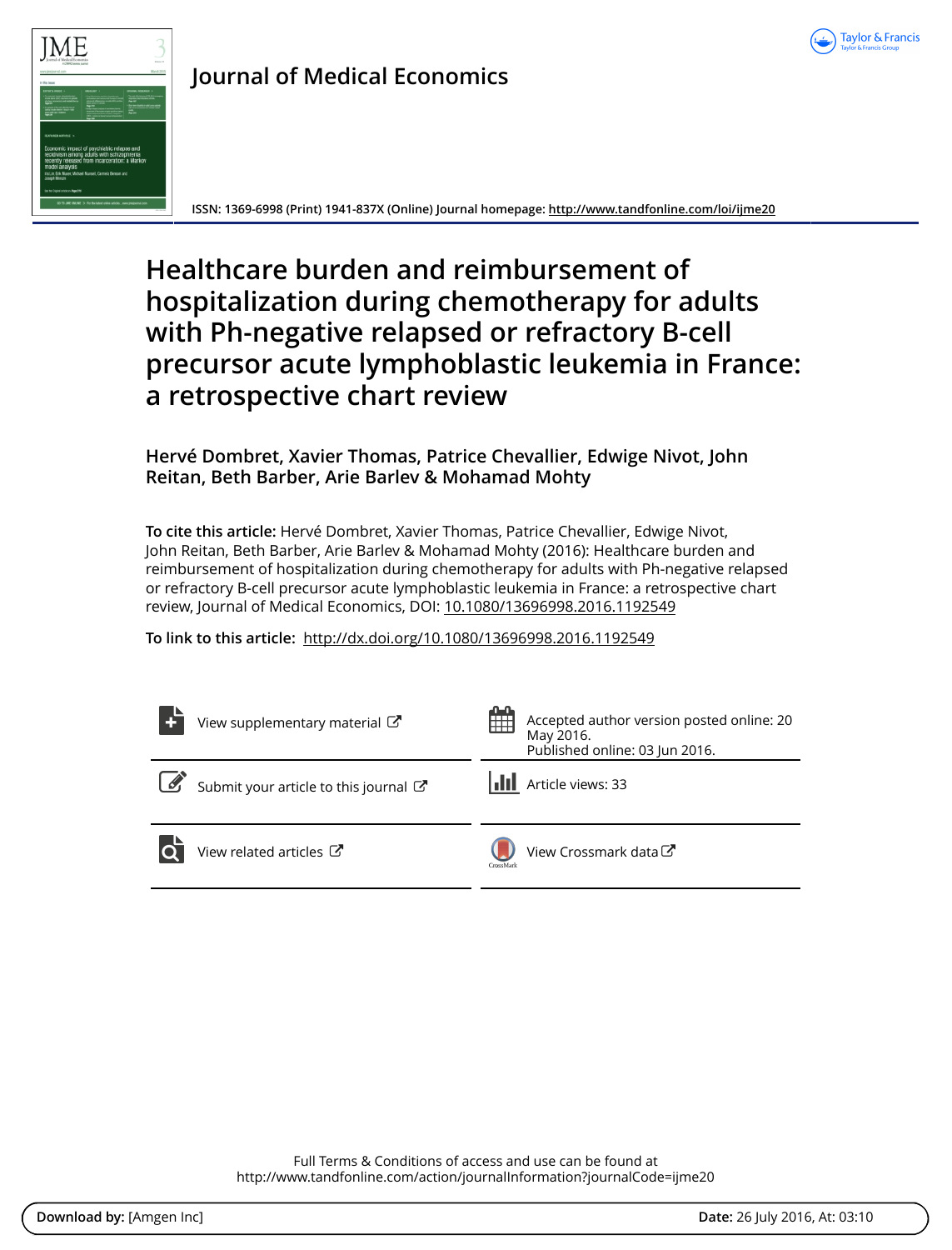



# **Journal of Medical Economics**

**ISSN: 1369-6998 (Print) 1941-837X (Online) Journal homepage: <http://www.tandfonline.com/loi/ijme20>**

# **Healthcare burden and reimbursement of hospitalization during chemotherapy for adults with Ph-negative relapsed or refractory B-cell precursor acute lymphoblastic leukemia in France: a retrospective chart review**

# **Hervé Dombret, Xavier Thomas, Patrice Chevallier, Edwige Nivot, John Reitan, Beth Barber, Arie Barlev & Mohamad Mohty**

**To cite this article:** Hervé Dombret, Xavier Thomas, Patrice Chevallier, Edwige Nivot, John Reitan, Beth Barber, Arie Barlev & Mohamad Mohty (2016): Healthcare burden and reimbursement of hospitalization during chemotherapy for adults with Ph-negative relapsed or refractory B-cell precursor acute lymphoblastic leukemia in France: a retrospective chart review, Journal of Medical Economics, DOI: [10.1080/13696998.2016.1192549](http://www.tandfonline.com/action/showCitFormats?doi=10.1080/13696998.2016.1192549)

**To link to this article:** <http://dx.doi.org/10.1080/13696998.2016.1192549>

|            | View supplementary material C       | 噩         | Accepted author version posted online: 20<br>May 2016.<br>Published online: 03 Jun 2016. |
|------------|-------------------------------------|-----------|------------------------------------------------------------------------------------------|
| $\sqrt{2}$ | Submit your article to this journal |           | Article views: 33                                                                        |
|            | View related articles C             | CrossMark | View Crossmark data <sup>C</sup>                                                         |

Full Terms & Conditions of access and use can be found at <http://www.tandfonline.com/action/journalInformation?journalCode=ijme20>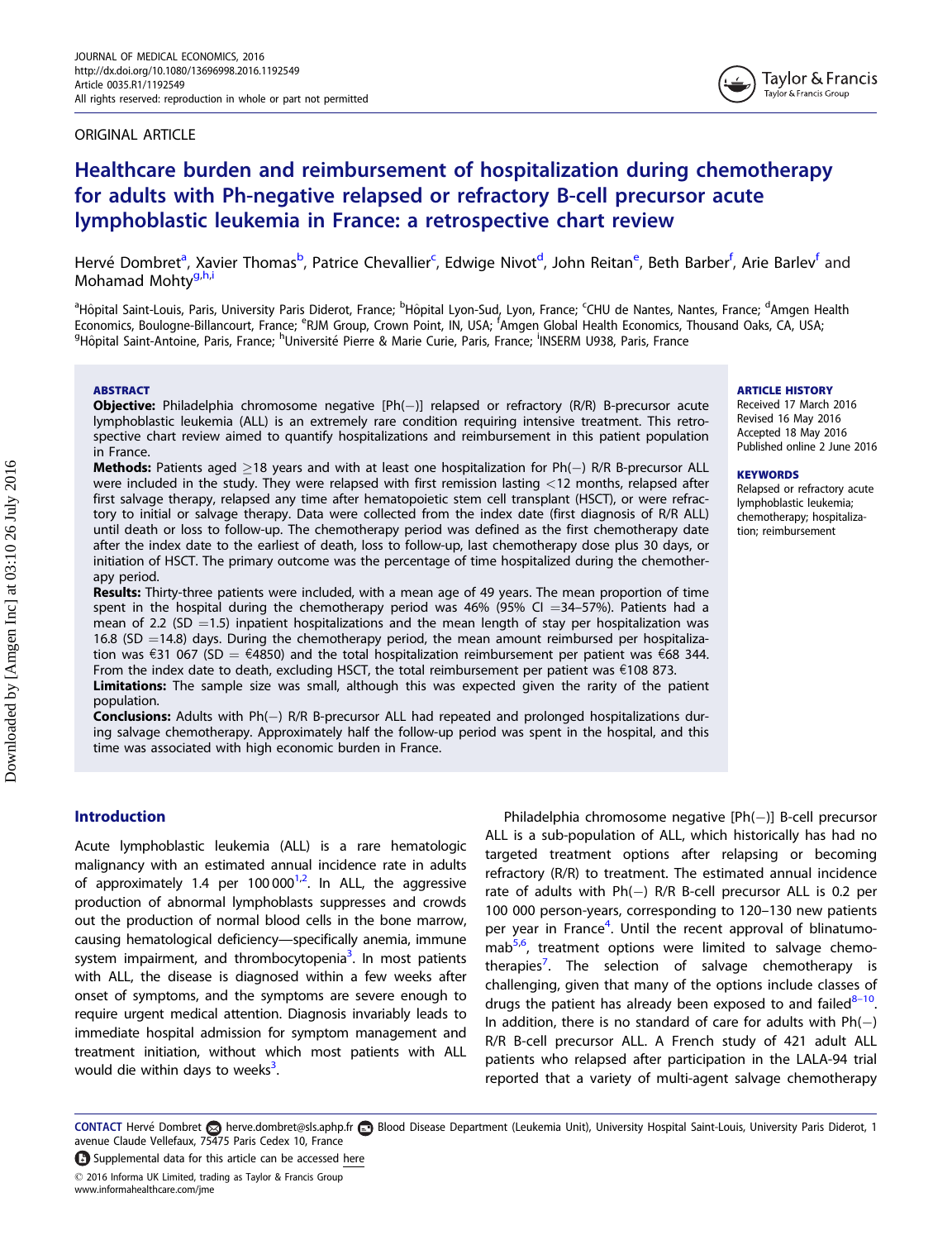#### <span id="page-1-0"></span>ORIGINAL ARTICLE



# Healthcare burden and reimbursement of hospitalization during chemotherapy for adults with Ph-negative relapsed or refractory B-cell precursor acute lymphoblastic leukemia in France: a retrospective chart review

Hervé Dombret<sup>a</sup>, Xavier Thomas<sup>b</sup>, Patrice Chevallier<sup>c</sup>, Edwige Nivot<sup>d</sup>, John Reitan<sup>e</sup>, Beth Barber<sup>f</sup>, Arie Barlev<sup>f</sup> and Mohamad Mohty<sup>g,h,i</sup>

<sup>a</sup>Hôpital Saint-Louis, Paris, University Paris Diderot, France; <sup>b</sup>Hôpital Lyon-Sud, Lyon, France; <sup>C</sup>HU de Nantes, Nantes, France; <sup>d</sup>Amgen Health Economics, Boulogne-Billancourt, France; <sup>e</sup>RJM Group, Crown Point, IN, USA; <sup>f</sup>Amgen Global Health Economics, Thousand Oaks, CA, USA;<br><sup>9</sup>Hôpital Saint-Antoine, Paris, France: <sup>h</sup>Llniversité Pierre & Marie Curie, Paris, Fr Hôpital Saint-Antoine, Paris, France; <sup>h</sup>Université Pierre & Marie Curie, Paris, France; <sup>i</sup>INSERM U938, Paris, France

#### **ABSTRACT**

**Objective:** Philadelphia chromosome negative [Ph(--)] relapsed or refractory (R/R) B-precursor acute lymphoblastic leukemia (ALL) is an extremely rare condition requiring intensive treatment. This retrospective chart review aimed to quantify hospitalizations and reimbursement in this patient population in France.

**Methods:** Patients aged  $\geq$ 18 years and with at least one hospitalization for Ph( $-$ ) R/R B-precursor ALL were included in the study. They were relapsed with first remission lasting <12 months, relapsed after first salvage therapy, relapsed any time after hematopoietic stem cell transplant (HSCT), or were refractory to initial or salvage therapy. Data were collected from the index date (first diagnosis of R/R ALL) until death or loss to follow-up. The chemotherapy period was defined as the first chemotherapy date after the index date to the earliest of death, loss to follow-up, last chemotherapy dose plus 30 days, or initiation of HSCT. The primary outcome was the percentage of time hospitalized during the chemotherapy period.

Results: Thirty-three patients were included, with a mean age of 49 years. The mean proportion of time spent in the hospital during the chemotherapy period was  $46\%$  (95% CI =34-57%). Patients had a mean of 2.2 (SD  $=$  1.5) inpatient hospitalizations and the mean length of stay per hospitalization was 16.8 (SD  $=$  14.8) days. During the chemotherapy period, the mean amount reimbursed per hospitalization was  $\epsilon$ 31 067 (SD =  $\epsilon$ 4850) and the total hospitalization reimbursement per patient was  $\epsilon$ 68 344. From the index date to death, excluding HSCT, the total reimbursement per patient was  $\epsilon$ 108 873.

Limitations: The sample size was small, although this was expected given the rarity of the patient population.

Conclusions: Adults with Ph(-) R/R B-precursor ALL had repeated and prolonged hospitalizations during salvage chemotherapy. Approximately half the follow-up period was spent in the hospital, and this time was associated with high economic burden in France.

#### ARTICLE HISTORY

Received 17 March 2016 Revised 16 May 2016 Accepted 18 May 2016 Published online 2 June 2016

#### **KEYWORDS**

Relapsed or refractory acute lymphoblastic leukemia; chemotherapy; hospitalization; reimbursement

#### Introduction

Acute lymphoblastic leukemia (ALL) is a rare hematologic malignancy with an estimated annual incidence rate in adults of approximately 1.4 per 100 $000^{1,2}$ . In ALL, the aggressive production of abnormal lymphoblasts suppresses and crowds out the production of normal blood cells in the bone marrow, causing hematological deficiency—specifically anemia, immune system impairment, and thrombocytopenia<sup>3</sup>. In most patients with ALL, the disease is diagnosed within a few weeks after onset of symptoms, and the symptoms are severe enough to require urgent medical attention. Diagnosis invariably leads to immediate hospital admission for symptom management and treatment initiation, without which most patients with ALL would die within days to weeks<sup>3</sup>. .

Philadelphia chromosome negative [Ph(-)] B-cell precursor ALL is a sub-population of ALL, which historically has had no targeted treatment options after relapsing or becoming refractory (R/R) to treatment. The estimated annual incidence rate of adults with Ph(-) R/R B-cell precursor ALL is 0.2 per 100 000 person-years, corresponding to 120–130 new patients per year in France<sup>[4](#page-5-0)</sup>. Until the recent approval of blinatumo-mab<sup>[5,6](#page-5-0)</sup>, treatment options were limited to salvage chemo-therapies<sup>[7](#page-5-0)</sup>. The selection of salvage chemotherapy is challenging, given that many of the options include classes of drugs the patient has already been exposed to and failed $8-10$ . In addition, there is no standard of care for adults with  $Ph(-)$ R/R B-cell precursor ALL. A French study of 421 adult ALL patients who relapsed after participation in the LALA-94 trial reported that a variety of multi-agent salvage chemotherapy

CONTACT Hervé Dombret & herve.dombret@sls.aphp.fr **Blood Disease Department (Leukemia Unit**), University Hospital Saint-Louis, University Paris Diderot, 1 avenue Claude Vellefaux, 75475 Paris Cedex 10, France

Supplemental data for this article can be accessed [here](http://dx.doi.org/10.1080/13696998.2016.1192549) - 2016 Informa UK Limited, trading as Taylor & Francis Group www.informahealthcare.com/jme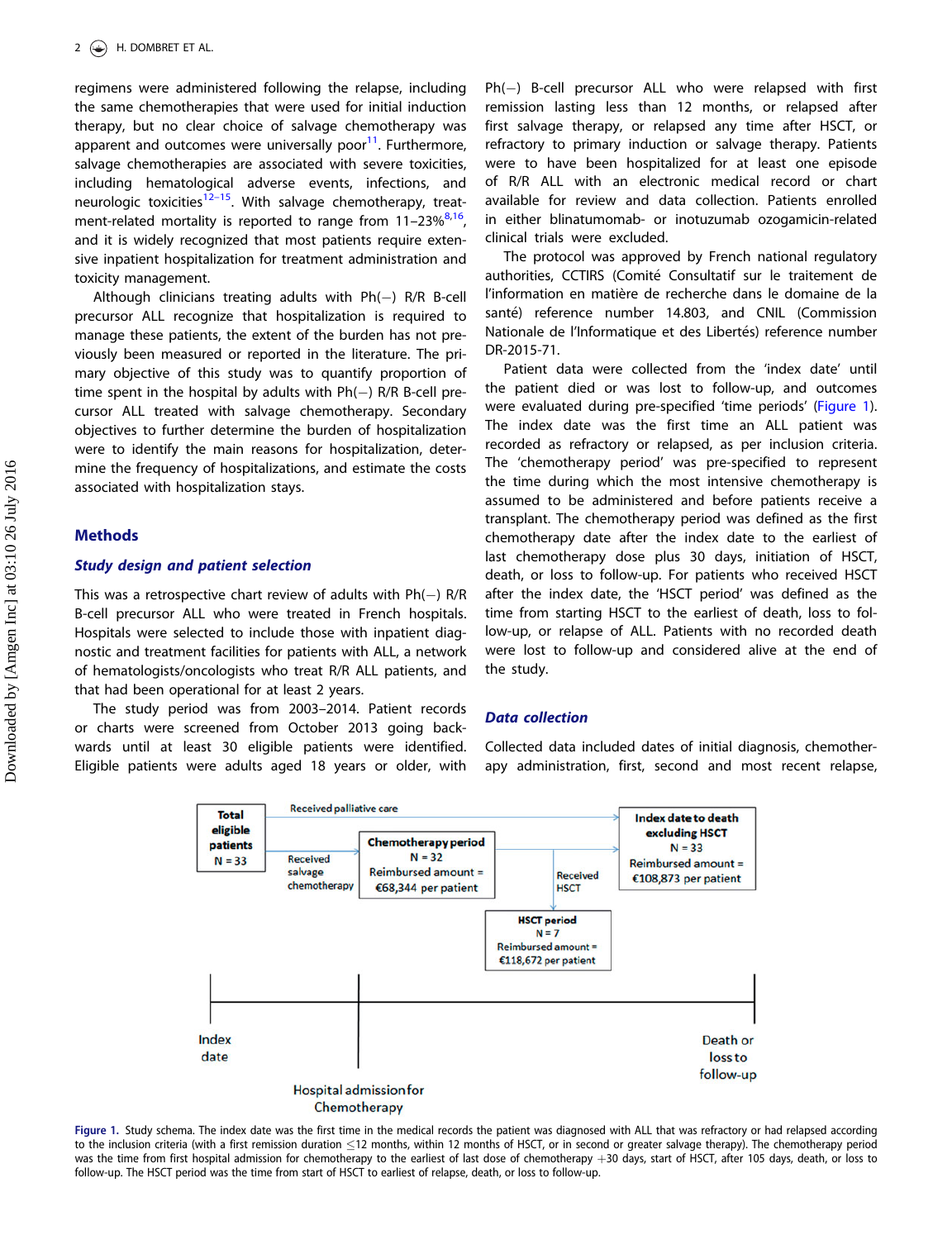<span id="page-2-0"></span>regimens were administered following the relapse, including the same chemotherapies that were used for initial induction therapy, but no clear choice of salvage chemotherapy was apparent and outcomes were universally poor $11$ . Furthermore, salvage chemotherapies are associated with severe toxicities, including hematological adverse events, infections, and neurologic toxicities<sup>12–15</sup>. With salvage chemotherapy, treatment-related mortality is reported to range from  $11-23\%^{8,16}$  $11-23\%^{8,16}$  $11-23\%^{8,16}$ , and it is widely recognized that most patients require extensive inpatient hospitalization for treatment administration and toxicity management.

Although clinicians treating adults with Ph(-) R/R B-cell precursor ALL recognize that hospitalization is required to manage these patients, the extent of the burden has not previously been measured or reported in the literature. The primary objective of this study was to quantify proportion of time spent in the hospital by adults with Ph $(-)$  R/R B-cell precursor ALL treated with salvage chemotherapy. Secondary objectives to further determine the burden of hospitalization were to identify the main reasons for hospitalization, determine the frequency of hospitalizations, and estimate the costs associated with hospitalization stays.

#### **Methods**

#### Study design and patient selection

This was a retrospective chart review of adults with  $Ph(-)$  R/R B-cell precursor ALL who were treated in French hospitals. Hospitals were selected to include those with inpatient diagnostic and treatment facilities for patients with ALL, a network of hematologists/oncologists who treat R/R ALL patients, and that had been operational for at least 2 years.

The study period was from 2003–2014. Patient records or charts were screened from October 2013 going backwards until at least 30 eligible patients were identified. Eligible patients were adults aged 18 years or older, with

Ph(-) B-cell precursor ALL who were relapsed with first remission lasting less than 12 months, or relapsed after first salvage therapy, or relapsed any time after HSCT, or refractory to primary induction or salvage therapy. Patients were to have been hospitalized for at least one episode of R/R ALL with an electronic medical record or chart available for review and data collection. Patients enrolled in either blinatumomab- or inotuzumab ozogamicin-related clinical trials were excluded.

The protocol was approved by French national regulatory authorities, CCTIRS (Comité Consultatif sur le traitement de l'information en matière de recherche dans le domaine de la santé) reference number 14.803, and CNIL (Commission Nationale de l'Informatique et des Libertés) reference number DR-2015-71.

Patient data were collected from the 'index date' until the patient died or was lost to follow-up, and outcomes were evaluated during pre-specified 'time periods' (Figure 1). The index date was the first time an ALL patient was recorded as refractory or relapsed, as per inclusion criteria. The 'chemotherapy period' was pre-specified to represent the time during which the most intensive chemotherapy is assumed to be administered and before patients receive a transplant. The chemotherapy period was defined as the first chemotherapy date after the index date to the earliest of last chemotherapy dose plus 30 days, initiation of HSCT, death, or loss to follow-up. For patients who received HSCT after the index date, the 'HSCT period' was defined as the time from starting HSCT to the earliest of death, loss to follow-up, or relapse of ALL. Patients with no recorded death were lost to follow-up and considered alive at the end of the study.

### Data collection

Collected data included dates of initial diagnosis, chemotherapy administration, first, second and most recent relapse,



Figure 1. Study schema. The index date was the first time in the medical records the patient was diagnosed with ALL that was refractory or had relapsed according to the inclusion criteria (with a first remission duration <12 months, within 12 months of HSCT, or in second or greater salvage therapy). The chemotherapy period was the time from first hospital admission for chemotherapy to the earliest of last dose of chemotherapy +30 days, start of HSCT, after 105 days, death, or loss to follow-up. The HSCT period was the time from start of HSCT to earliest of relapse, death, or loss to follow-up.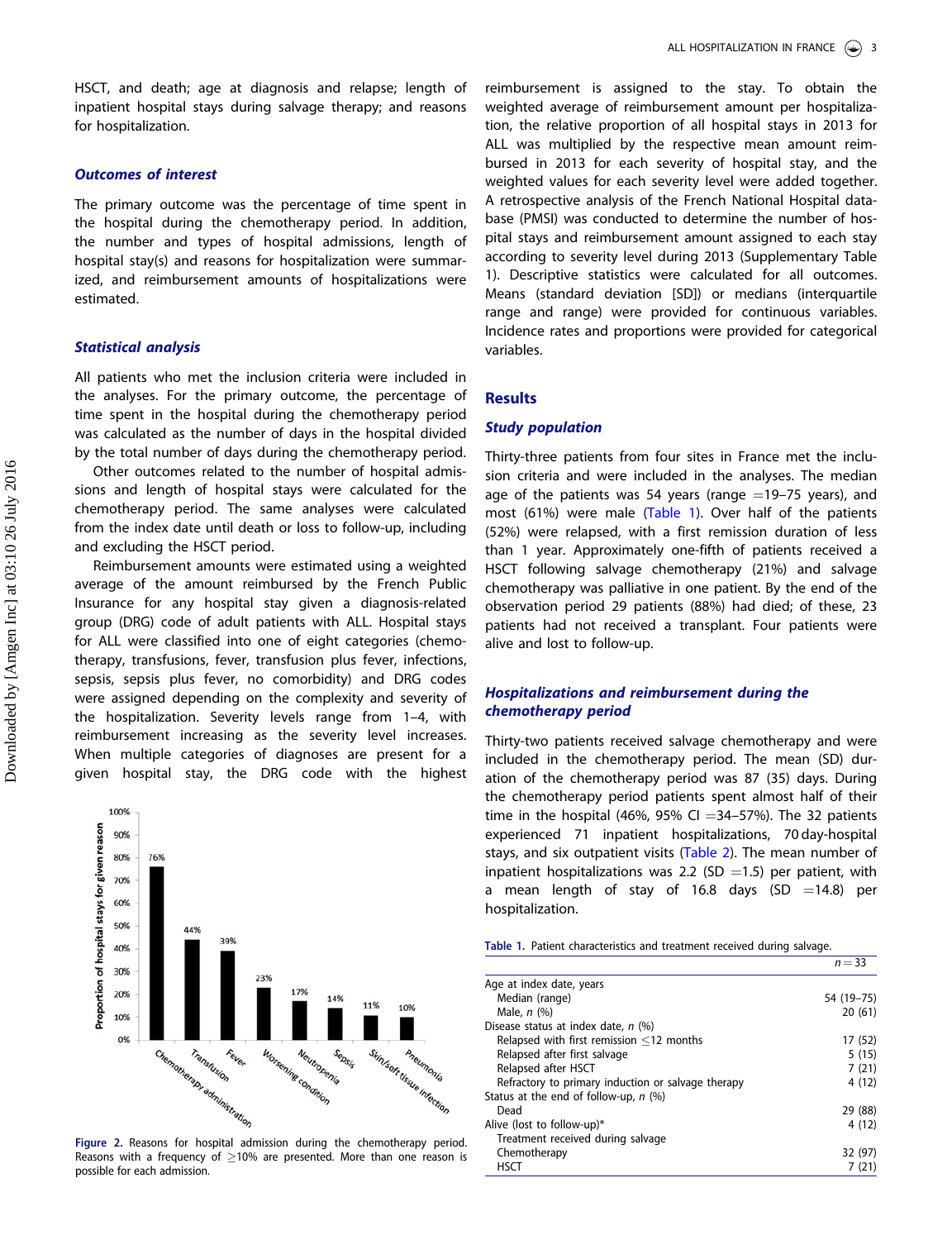HSCT, and death; age at diagnosis and relapse; length of inpatient hospital stays during salvage therapy; and reasons for hospitalization.

# Outcomes of interest

The primary outcome was the percentage of time spent in the hospital during the chemotherapy period. In addition, the number and types of hospital admissions, length of hospital stay(s) and reasons for hospitalization were summarized, and reimbursement amounts of hospitalizations were estimated.

#### Statistical analysis

All patients who met the inclusion criteria were included in the analyses. For the primary outcome, the percentage of time spent in the hospital during the chemotherapy period was calculated as the number of days in the hospital divided by the total number of days during the chemotherapy period.

Other outcomes related to the number of hospital admissions and length of hospital stays were calculated for the chemotherapy period. The same analyses were calculated from the index date until death or loss to follow-up, including and excluding the HSCT period.

Reimbursement amounts were estimated using a weighted average of the amount reimbursed by the French Public Insurance for any hospital stay given a diagnosis-related group (DRG) code of adult patients with ALL. Hospital stays for ALL were classified into one of eight categories (chemotherapy, transfusions, fever, transfusion plus fever, infections, sepsis, sepsis plus fever, no comorbidity) and DRG codes were assigned depending on the complexity and severity of the hospitalization. Severity levels range from 1–4, with reimbursement increasing as the severity level increases. When multiple categories of diagnoses are present for a given hospital stay, the DRG code with the highest



Reasons with a frequency of  $\geq$ 10% are presented. More than one reason is possible for each admission.

reimbursement is assigned to the stay. To obtain the weighted average of reimbursement amount per hospitalization, the relative proportion of all hospital stays in 2013 for ALL was multiplied by the respective mean amount reimbursed in 2013 for each severity of hospital stay, and the weighted values for each severity level were added together. A retrospective analysis of the French National Hospital database (PMSI) was conducted to determine the number of hospital stays and reimbursement amount assigned to each stay according to severity level during 2013 (Supplementary Table 1). Descriptive statistics were calculated for all outcomes. Means (standard deviation [SD]) or medians (interquartile range and range) were provided for continuous variables. Incidence rates and proportions were provided for categorical variables.

#### **Results**

### Study population

Thirty-three patients from four sites in France met the inclusion criteria and were included in the analyses. The median age of the patients was 54 years (range  $=$  19–75 years), and most (61%) were male (Table 1). Over half of the patients (52%) were relapsed, with a first remission duration of less than 1 year. Approximately one-fifth of patients received a HSCT following salvage chemotherapy (21%) and salvage chemotherapy was palliative in one patient. By the end of the observation period 29 patients (88%) had died; of these, 23 patients had not received a transplant. Four patients were alive and lost to follow-up.

# Hospitalizations and reimbursement during the chemotherapy period

Thirty-two patients received salvage chemotherapy and were included in the chemotherapy period. The mean (SD) duration of the chemotherapy period was 87 (35) days. During the chemotherapy period patients spent almost half of their time in the hospital (46%, 95% CI  $=$  34–57%). The 32 patients experienced 71 inpatient hospitalizations, 70 day-hospital stays, and six outpatient visits ([Table 2](#page-4-0)). The mean number of inpatient hospitalizations was 2.2 (SD  $=$ 1.5) per patient, with a mean length of stay of 16.8 days  $(SD = 14.8)$  per hospitalization.

|  | Table 1. Patient characteristics and treatment received during salvage. |  |  |          |
|--|-------------------------------------------------------------------------|--|--|----------|
|  |                                                                         |  |  | $n - 33$ |

|                                                    | .            |
|----------------------------------------------------|--------------|
| Age at index date, years                           |              |
| Median (range)                                     | 54 (19 - 75) |
| Male, $n$ $(\%)$                                   | 20(61)       |
| Disease status at index date, $n$ (%)              |              |
| Relapsed with first remission $\leq$ 12 months     | 17 (52)      |
| Relapsed after first salvage                       | 5(15)        |
| Relapsed after HSCT                                | 7(21)        |
| Refractory to primary induction or salvage therapy | 4 (12)       |
| Status at the end of follow-up, $n$ (%)            |              |
| Dead                                               | 29 (88)      |
| Alive (lost to follow-up)*                         | 4(12)        |
| Treatment received during salvage                  |              |
| Chemotherapy                                       | 32 (97)      |
| <b>HSCT</b>                                        | 7(21)        |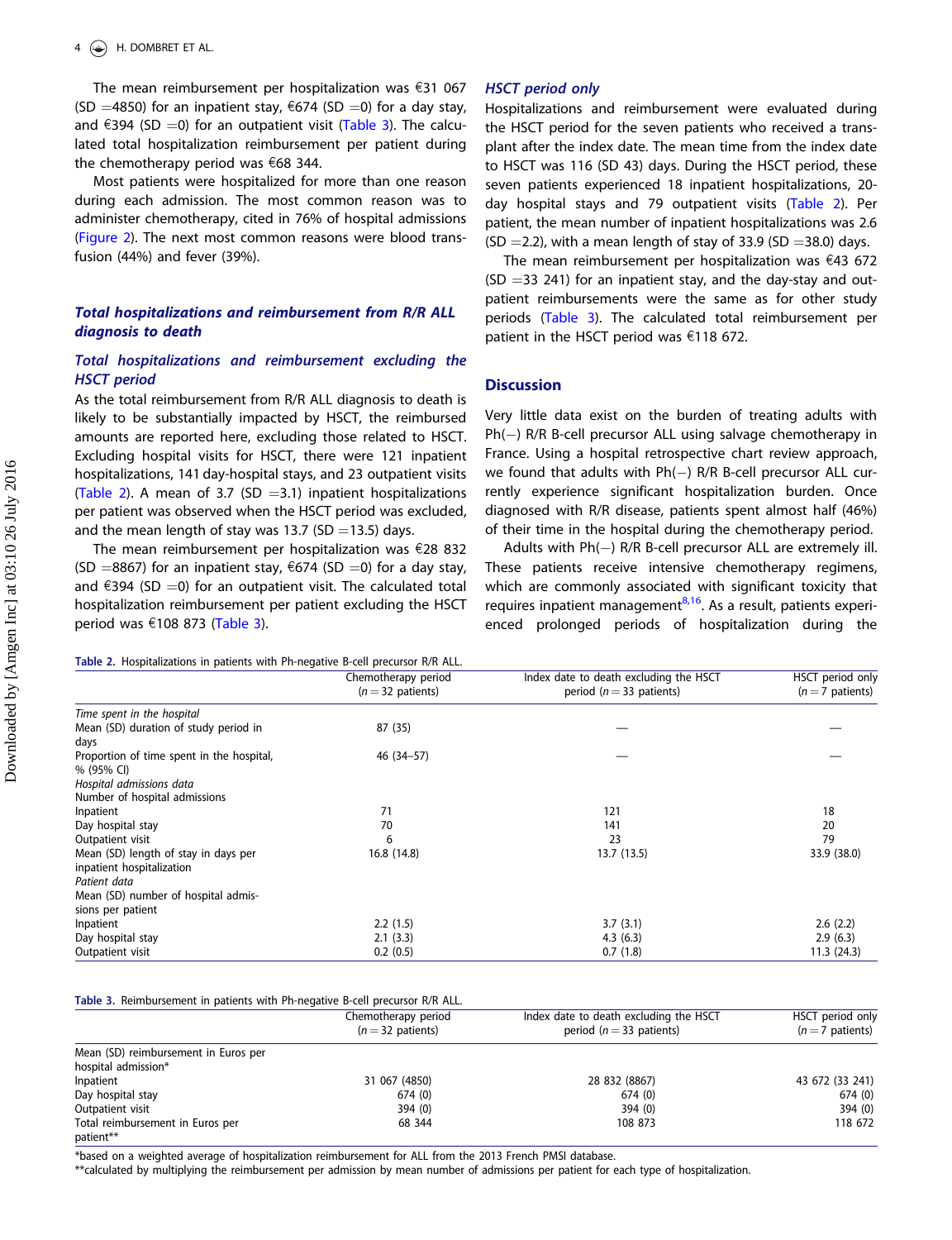<span id="page-4-0"></span>The mean reimbursement per hospitalization was  $£31$  067 (SD =4850) for an inpatient stay,  $\epsilon$ 674 (SD =0) for a day stay, and  $\epsilon$ 394 (SD =0) for an outpatient visit (Table 3). The calculated total hospitalization reimbursement per patient during the chemotherapy period was  $\epsilon$ 68 344.

Most patients were hospitalized for more than one reason during each admission. The most common reason was to administer chemotherapy, cited in 76% of hospital admissions [\(Figure 2\)](#page-2-0). The next most common reasons were blood transfusion (44%) and fever (39%).

# Total hospitalizations and reimbursement from R/R ALL diagnosis to death

# Total hospitalizations and reimbursement excluding the HSCT period

As the total reimbursement from R/R ALL diagnosis to death is likely to be substantially impacted by HSCT, the reimbursed amounts are reported here, excluding those related to HSCT. Excluding hospital visits for HSCT, there were 121 inpatient hospitalizations, 141 day-hospital stays, and 23 outpatient visits (Table 2). A mean of 3.7 (SD  $=$  3.1) inpatient hospitalizations per patient was observed when the HSCT period was excluded, and the mean length of stay was 13.7 (SD = 13.5) days.

The mean reimbursement per hospitalization was  $\epsilon$ 28 832 (SD =8867) for an inpatient stay,  $674$  (SD =0) for a day stay, and  $\epsilon$ 394 (SD =0) for an outpatient visit. The calculated total hospitalization reimbursement per patient excluding the HSCT period was  $£108873$  (Table 3).

#### Table 2. Hospitalizations in patients with Ph-negative B-cell precursor R/R ALL.

|  |  | <b>HSCT</b> period only |
|--|--|-------------------------|
|  |  |                         |

Hospitalizations and reimbursement were evaluated during the HSCT period for the seven patients who received a transplant after the index date. The mean time from the index date to HSCT was 116 (SD 43) days. During the HSCT period, these seven patients experienced 18 inpatient hospitalizations, 20 day hospital stays and 79 outpatient visits (Table 2). Per patient, the mean number of inpatient hospitalizations was 2.6  $(SD = 2.2)$ , with a mean length of stay of 33.9 (SD = 38.0) days.

The mean reimbursement per hospitalization was  $€43$  672  $(SD = 33 241)$  for an inpatient stay, and the day-stay and outpatient reimbursements were the same as for other study periods (Table 3). The calculated total reimbursement per patient in the HSCT period was  $\epsilon$ 118 672.

### **Discussion**

Very little data exist on the burden of treating adults with Ph(-) R/R B-cell precursor ALL using salvage chemotherapy in France. Using a hospital retrospective chart review approach, we found that adults with Ph(-) R/R B-cell precursor ALL currently experience significant hospitalization burden. Once diagnosed with R/R disease, patients spent almost half (46%) of their time in the hospital during the chemotherapy period.

Adults with Ph(-) R/R B-cell precursor ALL are extremely ill. These patients receive intensive chemotherapy regimens, which are commonly associated with significant toxicity that requires inpatient management $8,16$  $8,16$  $8,16$ . As a result, patients experienced prolonged periods of hospitalization during the

|                                           | Chemotherapy period<br>$(n=32$ patients) | Index date to death excluding the HSCT<br>period ( $n = 33$ patients) | HSCT period only<br>$(n=7$ patients) |
|-------------------------------------------|------------------------------------------|-----------------------------------------------------------------------|--------------------------------------|
| Time spent in the hospital                |                                          |                                                                       |                                      |
| Mean (SD) duration of study period in     | 87 (35)                                  |                                                                       |                                      |
| days                                      |                                          |                                                                       |                                      |
| Proportion of time spent in the hospital, | 46 (34 - 57)                             |                                                                       |                                      |
| % (95% CI)                                |                                          |                                                                       |                                      |
| Hospital admissions data                  |                                          |                                                                       |                                      |
| Number of hospital admissions             |                                          |                                                                       |                                      |
| Inpatient                                 | 71                                       | 121                                                                   | 18                                   |
| Day hospital stay                         | 70                                       | 141                                                                   | 20                                   |
| Outpatient visit                          | 6                                        | 23                                                                    | 79                                   |
| Mean (SD) length of stay in days per      | 16.8 (14.8)                              | 13.7(13.5)                                                            | 33.9 (38.0)                          |
| inpatient hospitalization                 |                                          |                                                                       |                                      |
| Patient data                              |                                          |                                                                       |                                      |
| Mean (SD) number of hospital admis-       |                                          |                                                                       |                                      |
| sions per patient                         |                                          |                                                                       |                                      |
| Inpatient                                 | 2.2(1.5)                                 | 3.7(3.1)                                                              | 2.6(2.2)                             |
| Day hospital stay                         | 2.1(3.3)                                 | 4.3(6.3)                                                              | 2.9(6.3)                             |
| Outpatient visit                          | 0.2(0.5)                                 | 0.7(1.8)                                                              | 11.3(24.3)                           |

Table 3. Reimbursement in patients with Ph-negative B-cell precursor R/R ALL.

|                                                             | Chemotherapy period<br>$(n=32 \text{ patients})$ | Index date to death excluding the HSCT<br>period ( $n = 33$ patients) | HSCT period only<br>$(n=7$ patients) |
|-------------------------------------------------------------|--------------------------------------------------|-----------------------------------------------------------------------|--------------------------------------|
| Mean (SD) reimbursement in Euros per<br>hospital admission* |                                                  |                                                                       |                                      |
| Inpatient                                                   | 31 067 (4850)                                    | 28 832 (8867)                                                         | 43 672 (33 241)                      |
| Day hospital stay                                           | 674(0)                                           | 674(0)                                                                | 674(0)                               |
| Outpatient visit                                            | 394(0)                                           | 394(0)                                                                | 394(0)                               |
| Total reimbursement in Euros per<br>patient**               | 68 344                                           | 108 873                                                               | 118 672                              |

\*based on a weighted average of hospitalization reimbursement for ALL from the 2013 French PMSI database.

\*\*calculated by multiplying the reimbursement per admission by mean number of admissions per patient for each type of hospitalization.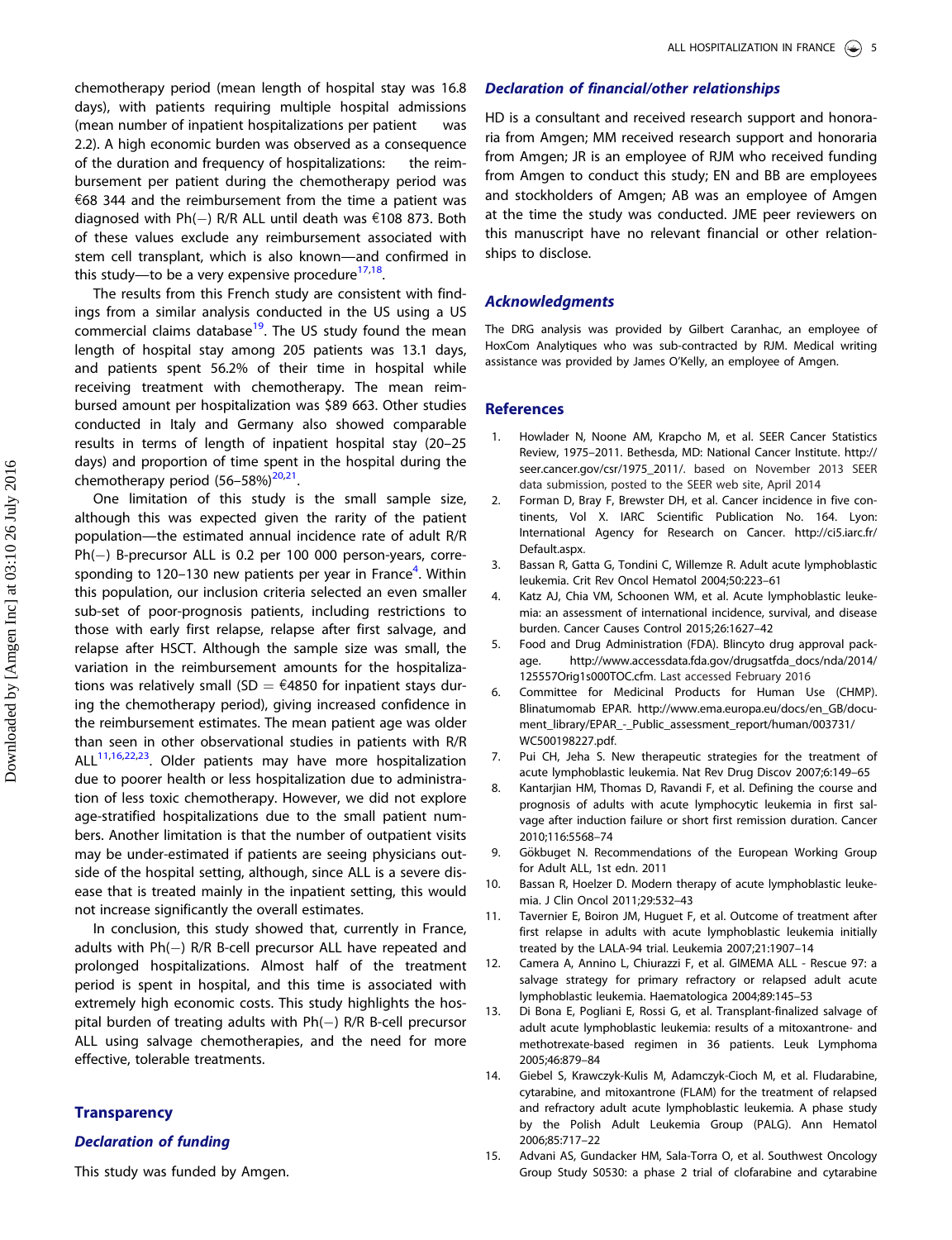<span id="page-5-0"></span>chemotherapy period (mean length of hospital stay was 16.8 days), with patients requiring multiple hospital admissions (mean number of inpatient hospitalizations per patient was 2.2). A high economic burden was observed as a consequence of the duration and frequency of hospitalizations: the reimbursement per patient during the chemotherapy period was  $68$  344 and the reimbursement from the time a patient was diagnosed with  $Ph(-)$  R/R ALL until death was  $€108$  873. Both of these values exclude any reimbursement associated with stem cell transplant, which is also known—and confirmed in this study—to be a very expensive procedure $17,18$ .

The results from this French study are consistent with findings from a similar analysis conducted in the US using a US commercial claims database $19$ . The US study found the mean length of hospital stay among 205 patients was 13.1 days, and patients spent 56.2% of their time in hospital while receiving treatment with chemotherapy. The mean reimbursed amount per hospitalization was \$89 663. Other studies conducted in Italy and Germany also showed comparable results in terms of length of inpatient hospital stay (20–25 days) and proportion of time spent in the hospital during the chemotherapy period  $(56-58%)^{20,21}$  $(56-58%)^{20,21}$  $(56-58%)^{20,21}$  $(56-58%)^{20,21}$  $(56-58%)^{20,21}$ .

One limitation of this study is the small sample size, although this was expected given the rarity of the patient population—the estimated annual incidence rate of adult R/R Ph(-) B-precursor ALL is 0.2 per 100 000 person-years, corresponding to 120–130 new patients per year in France<sup>4</sup>. Within this population, our inclusion criteria selected an even smaller sub-set of poor-prognosis patients, including restrictions to those with early first relapse, relapse after first salvage, and relapse after HSCT. Although the sample size was small, the variation in the reimbursement amounts for the hospitalizations was relatively small (SD =  $\epsilon$ 4850 for inpatient stays during the chemotherapy period), giving increased confidence in the reimbursement estimates. The mean patient age was older than seen in other observational studies in patients with R/R  $ALL<sup>11,16,22,23</sup>$  $ALL<sup>11,16,22,23</sup>$  $ALL<sup>11,16,22,23</sup>$ . Older patients may have more hospitalization due to poorer health or less hospitalization due to administration of less toxic chemotherapy. However, we did not explore age-stratified hospitalizations due to the small patient numbers. Another limitation is that the number of outpatient visits may be under-estimated if patients are seeing physicians outside of the hospital setting, although, since ALL is a severe disease that is treated mainly in the inpatient setting, this would not increase significantly the overall estimates.

In conclusion, this study showed that, currently in France, adults with Ph(-) R/R B-cell precursor ALL have repeated and prolonged hospitalizations. Almost half of the treatment period is spent in hospital, and this time is associated with extremely high economic costs. This study highlights the hospital burden of treating adults with Ph(–) R/R B-cell precursor ALL using salvage chemotherapies, and the need for more effective, tolerable treatments.

#### **Transparency**

# Declaration of funding

This study was funded by Amgen.

# Declaration of financial/other relationships

HD is a consultant and received research support and honoraria from Amgen; MM received research support and honoraria from Amgen; JR is an employee of RJM who received funding from Amgen to conduct this study; EN and BB are employees and stockholders of Amgen; AB was an employee of Amgen at the time the study was conducted. JME peer reviewers on this manuscript have no relevant financial or other relationships to disclose.

### Acknowledgments

The DRG analysis was provided by Gilbert Caranhac, an employee of HoxCom Analytiques who was sub-contracted by RJM. Medical writing assistance was provided by James O'Kelly, an employee of Amgen.

#### References

- [1. H](#page-1-0)owlader N, Noone AM, Krapcho M, et al. SEER Cancer Statistics Review, 1975–2011. Bethesda, MD: National Cancer Institute. [http://](http://seer.cancer.gov/csr/1975_2011/) [seer.cancer.gov/csr/1975\\_2011/](http://seer.cancer.gov/csr/1975_2011/). based on November 2013 SEER data submission, posted to the SEER web site, April 2014
- [2. F](#page-1-0)orman D, Bray F, Brewster DH, et al. Cancer incidence in five continents, Vol X. IARC Scientific Publication No. 164. Lyon: International Agency for Research on Cancer. [http://ci5.iarc.fr/](http://ci5.iarc.fr/Default.aspx) [Default.aspx](http://ci5.iarc.fr/Default.aspx).
- [3. B](#page-1-0)assan R, Gatta G, Tondini C, Willemze R. Adult acute lymphoblastic leukemia. Crit Rev Oncol Hematol 2004;50:223–61
- [4. K](#page-1-0)atz AJ, Chia VM, Schoonen WM, et al. Acute lymphoblastic leukemia: an assessment of international incidence, survival, and disease burden. Cancer Causes Control 2015;26:1627–42
- [5. F](#page-1-0)ood and Drug Administration (FDA). Blincyto drug approval package. [http://www.accessdata.fda.gov/drugsatfda\\_docs/nda/2014/](http://www.accessdata.fda.gov/drugsatfda_docs/nda/2014/125557Orig1s000TOC.cfm) [125557Orig1s000TOC.cfm.](http://www.accessdata.fda.gov/drugsatfda_docs/nda/2014/125557Orig1s000TOC.cfm) Last accessed February 2016
- [6. C](#page-1-0)ommittee for Medicinal Products for Human Use (CHMP). Blinatumomab EPAR. [http://www.ema.europa.eu/docs/en\\_GB/docu](http://www.ema.europa.eu/docs/en_GB/document_library/EPAR_-_Public_assessment_report/human/003731/WC500198227.pdf)[ment\\_library/EPAR\\_-\\_Public\\_assessment\\_report/human/003731/](http://www.ema.europa.eu/docs/en_GB/document_library/EPAR_-_Public_assessment_report/human/003731/WC500198227.pdf) [WC500198227.pdf](http://www.ema.europa.eu/docs/en_GB/document_library/EPAR_-_Public_assessment_report/human/003731/WC500198227.pdf).
- [7. P](#page-1-0)ui CH, Jeha S. New therapeutic strategies for the treatment of acute lymphoblastic leukemia. Nat Rev Drug Discov 2007;6:149–65
- [8. K](#page-1-0)antarjian HM, Thomas D, Ravandi F, et al. Defining the course and prognosis of adults with acute lymphocytic leukemia in first salvage after induction failure or short first remission duration. Cancer 2010;116:5568–74
- 9. Gökbuget N. Recommendations of the European Working Group for Adult ALL, 1st edn. 2011
- 10. Bassan R, Hoelzer D. Modern therapy of acute lymphoblastic leukemia. J Clin Oncol 2011;29:532–43
- [11. T](#page-2-0)avernier E, Boiron JM, Huguet F, et al. Outcome of treatment after first relapse in adults with acute lymphoblastic leukemia initially treated by the LALA-94 trial. Leukemia 2007;21:1907–14
- [12. C](#page-2-0)amera A, Annino L, Chiurazzi F, et al. GIMEMA ALL Rescue 97: a salvage strategy for primary refractory or relapsed adult acute lymphoblastic leukemia. Haematologica 2004;89:145–53
- 13. Di Bona E, Pogliani E, Rossi G, et al. Transplant-finalized salvage of adult acute lymphoblastic leukemia: results of a mitoxantrone- and methotrexate-based regimen in 36 patients. Leuk Lymphoma 2005;46:879–84
- 14. Giebel S, Krawczyk-Kulis M, Adamczyk-Cioch M, et al. Fludarabine, cytarabine, and mitoxantrone (FLAM) for the treatment of relapsed and refractory adult acute lymphoblastic leukemia. A phase study by the Polish Adult Leukemia Group (PALG). Ann Hematol 2006;85:717–22
- 15. Advani AS, Gundacker HM, Sala-Torra O, et al. Southwest Oncology Group Study S0530: a phase 2 trial of clofarabine and cytarabine